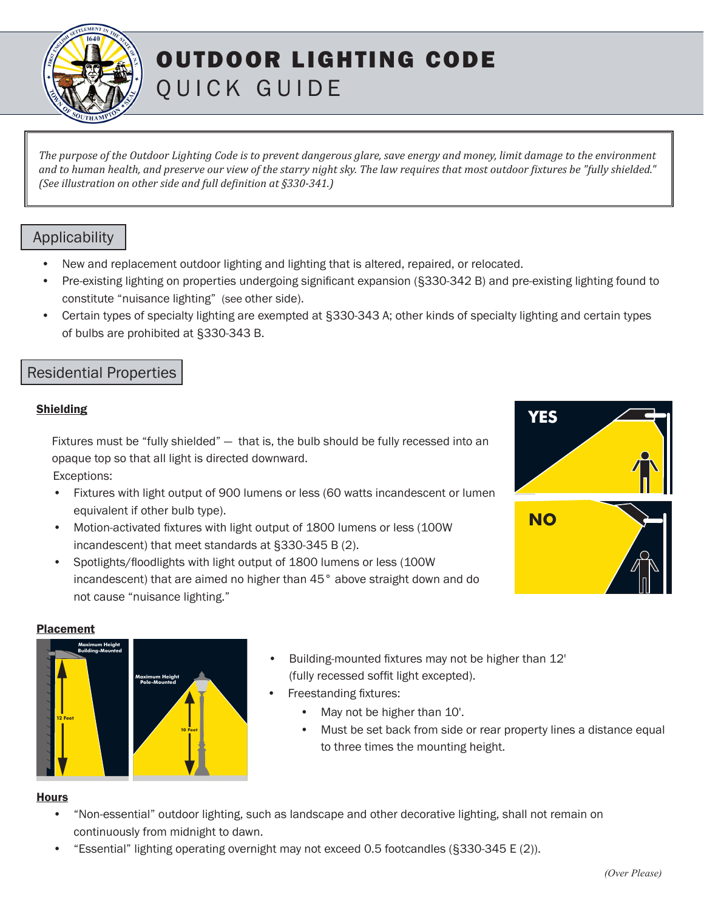

# OUTDOOR LIGHTING CODE QUICK GUIDE

*The purpose of the Outdoor Lighting Code is to prevent dangerous glare, save energy and money, limit damage to the environment and to human health, and preserve our view of the starry night sky. The law requires that most outdoor fixtures be "fully shielded." (See illustration on other side and full definition at §330-341.)*

# Applicability

- New and replacement outdoor lighting and lighting that is altered, repaired, or relocated.
- Pre-existing lighting on properties undergoing significant expansion (§330-342 B) and pre-existing lighting found to constitute "nuisance lighting" (see other side).
- Certain types of specialty lighting are exempted at §330-343 A; other kinds of specialty lighting and certain types of bulbs are prohibited at §330-343 B.

# Residential Properties

## Shielding

Fixtures must be "fully shielded" — that is, the bulb should be fully recessed into an opaque top so that all light is directed downward. Exceptions:

- Fixtures with light output of 900 lumens or less (60 watts incandescent or lumen equivalent if other bulb type).
- Motion-activated fixtures with light output of 1800 lumens or less (100W) incandescent) that meet standards at §330-345 B (2).
- Spotlights/floodlights with light output of 1800 lumens or less (100W incandescent) that are aimed no higher than 45° above straight down and do not cause "nuisance lighting." **YES**<br>
I' – that is, the bulb should be fully recessed into an<br>
intercted downward.<br>
900 lumens or less (60 watts incandescent or lumen<br>
e).<br>
Ith light output of 1800 lumens or less (100W<br>
andards at §330-345 B (2).<br>
Eight



#### Placement



- Building-mounted fixtures may not be higher than 12' (fully recessed soffit light excepted).
- Freestanding fixtures:
	- May not be higher than 10'.
	- Must be set back from side or rear property lines a distance equal to three times the mounting height.

#### **Hours**

- **Maximum Height**  continuously from midnight to dawn. **Example 1**<br>**Building**<br>**Building-Mover Please** • "Non-essential" outdoor lighting, such as landscape and other decorative lighting, shall not remain on
- "Essential" lighting operating overnight may not exceed 0.5 footcandles (§330-345 E (2)).